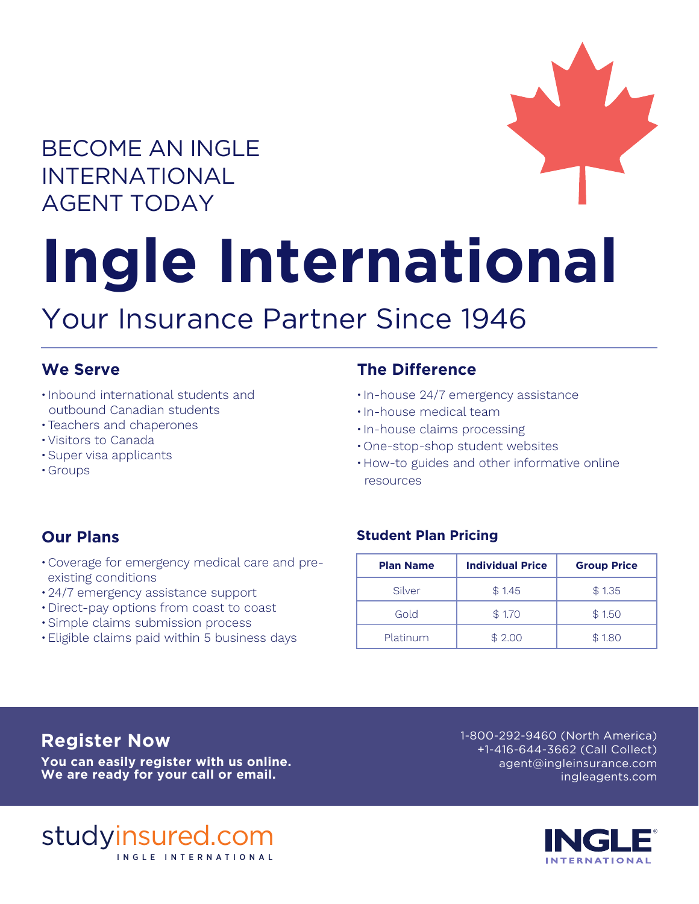# BECOME AN INGLE INTERNATIONAL AGENT TODAY



# **Ingle International**

# Your Insurance Partner Since 1946

### **We Serve**

- Inbound international students and outbound Canadian students
- •Teachers and chaperones
- •Visitors to Canada
- •Super visa applicants
- •Groups

# **The Difference**

- In-house 24/7 emergency assistance
- In-house medical team
- In-house claims processing
- •One-stop-shop student websites
- •How-to guides and other informative online resources

# **Our Plans**

- •Coverage for emergency medical care and pre existing conditions
- •24/7 emergency assistance support
- •Direct-pay options from coast to coast
- •Simple claims submission process
- •Eligible claims paid within 5 business days

### **Student Plan Pricing**

| <b>Plan Name</b> | <b>Individual Price</b> | <b>Group Price</b> |
|------------------|-------------------------|--------------------|
| Silver           | \$1.45                  | \$1.35             |
| Gold             | \$1.70                  | \$1.50             |
| Platinum         | \$2.00                  | \$1.80             |

**You can easily register with us online. We are ready for your call or email.**

**Register Now 1-800-292-9460 (North America)** +1-416-644-3662 (Call Collect) agent@ingleinsurance.com ingleagents.com



studyinsured.com INGLE INTERNA TIONAL